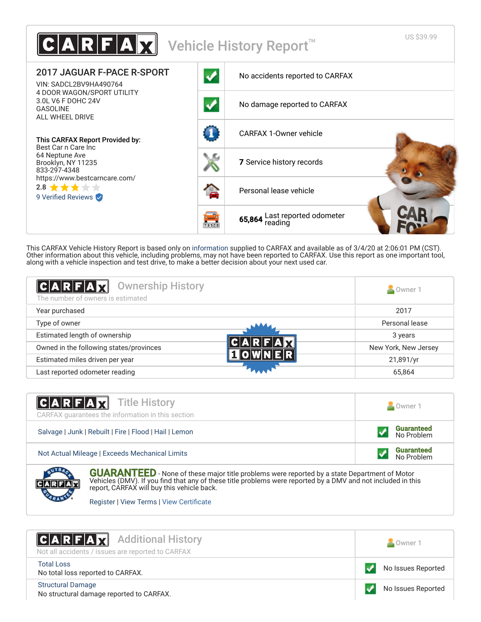

This CARFAX Vehicle History Report is based only on [information](http://www.carfax.com/company/vhr-data-sources) supplied to CARFAX and available as of 3/4/20 at 2:06:01 PM (CST). Other information about this vehicle, including problems, may not have been reported to CARFAX. Use this report as one important tool, along with a vehicle inspection and test drive, to make a better decision about your next used car.

<span id="page-0-1"></span>

| C A R F A Z <br><b>Ownership History</b><br>The number of owners is estimated | Owner 1              |
|-------------------------------------------------------------------------------|----------------------|
| Year purchased                                                                | 2017                 |
| Type of owner                                                                 | Personal lease       |
| Estimated length of ownership                                                 | 3 years              |
| Owned in the following states/provinces                                       | New York, New Jersey |
| Estimated miles driven per year                                               | 21,891/yr            |
| Last reported odometer reading                                                | 65,864               |

| <b>CARFAX</b> Title History<br>CARFAX guarantees the information in this section | Owner 1                         |
|----------------------------------------------------------------------------------|---------------------------------|
| Salvage   Junk   Rebuilt   Fire   Flood   Hail   Lemon                           | <b>Guaranteed</b><br>No Problem |
| Not Actual Mileage   Exceeds Mechanical Limits                                   | <b>Guaranteed</b><br>No Problem |
| <b>COMPANY</b>                                                                   |                                 |



**GUARANTEED** - None of these major title problems were reported by a state Department of Motor Vehicles (DMV). If you find that any of these title problems were reported by a DMV and not included in this report, CARFAX will buy this vehicle back.

[Register](https://www.carfaxonline.com/manifest/bbg/register.cfx?source=VHO&locGid=515734) | [View Terms](http://www.carfaxonline.com/legal/bbgTerms) | View Certificate

<span id="page-0-0"></span>

| <b>CARFAX</b> Additional History                  | Owner 1            |
|---------------------------------------------------|--------------------|
| Not all accidents / issues are reported to CARFAX |                    |
| <b>Total Loss</b>                                 | No Issues Reported |
| No total loss reported to CARFAX.                 |                    |
| <b>Structural Damage</b>                          | No Issues Reported |
| No structural damage reported to CARFAX.          |                    |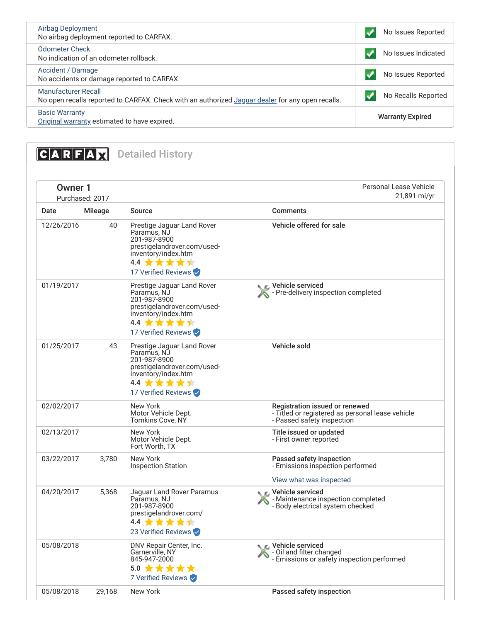| Airbag Deployment<br>No airbag deployment reported to CARFAX.                                                           | No Issues Reported      |
|-------------------------------------------------------------------------------------------------------------------------|-------------------------|
| <b>Odometer Check</b><br>No indication of an odometer rollback.                                                         | No Issues Indicated     |
| Accident / Damage<br>No accidents or damage reported to CARFAX.                                                         | No Issues Reported      |
| Manufacturer Recall<br>No open recalls reported to CARFAX. Check with an authorized Jaguar dealer for any open recalls. | No Recalls Reported     |
| <b>Basic Warranty</b><br>Original warranty estimated to have expired.                                                   | <b>Warranty Expired</b> |

<span id="page-1-0"></span>**CARFAX** Detailed History

| <b>Owner 1</b><br>Purchased: 2017 |                | Personal Lease Vehicle<br>21,891 mi/yr                                                                                                              |                                                                                                                  |  |
|-----------------------------------|----------------|-----------------------------------------------------------------------------------------------------------------------------------------------------|------------------------------------------------------------------------------------------------------------------|--|
| Date                              | <b>Mileage</b> | <b>Source</b>                                                                                                                                       | <b>Comments</b>                                                                                                  |  |
| 12/26/2016                        | 40             | Prestige Jaguar Land Rover<br>Paramus, NJ<br>201-987-8900<br>prestigelandrover.com/used-<br>inventory/index.htm<br>4.4 ★★★★★<br>17 Verified Reviews | Vehicle offered for sale                                                                                         |  |
| 01/19/2017                        |                | Prestige Jaguar Land Rover<br>Paramus, NJ<br>201-987-8900<br>prestigelandrover.com/used-<br>inventory/index.htm<br>4.4 ★★★★★<br>17 Verified Reviews | <b>NE</b> Vehicle serviced<br>- Pre-delivery inspection completed                                                |  |
| 01/25/2017                        | 43             | Prestige Jaguar Land Rover<br>Paramus, NJ<br>201-987-8900<br>prestigelandrover.com/used-<br>inventory/index.htm<br>4.4 ★★★★★<br>17 Verified Reviews | Vehicle sold                                                                                                     |  |
| 02/02/2017                        |                | New York<br>Motor Vehicle Dept.<br>Tomkins Cove, NY                                                                                                 | Registration issued or renewed<br>- Titled or registered as personal lease vehicle<br>- Passed safety inspection |  |
| 02/13/2017                        |                | New York<br>Motor Vehicle Dept.<br>Fort Worth, TX                                                                                                   | Title issued or updated<br>- First owner reported                                                                |  |
| 03/22/2017                        | 3,780          | New York<br><b>Inspection Station</b>                                                                                                               | Passed safety inspection<br>- Emissions inspection performed                                                     |  |
|                                   |                |                                                                                                                                                     | View what was inspected                                                                                          |  |
| 04/20/2017                        | 5,368          | Jaguar Land Rover Paramus<br>Paramus, NJ<br>201-987-8900<br>prestigelandrover.com/<br>4.4 ★★★★★<br>23 Verified Reviews                              | ● C Vehicle serviced<br>- Maintenance inspection completed<br>- Body electrical system checked                   |  |
| 05/08/2018                        |                | DNV Repair Center, Inc.<br>Garnerville, NY<br>845-947-2000<br>5.0 女女女女女<br>7 Verified Reviews                                                       | C Vehicle serviced<br>- Oil and filter changed<br>- Emissions or safety inspection performed                     |  |
| 05/08/2018                        | 29,168         | New York                                                                                                                                            | Passed safety inspection                                                                                         |  |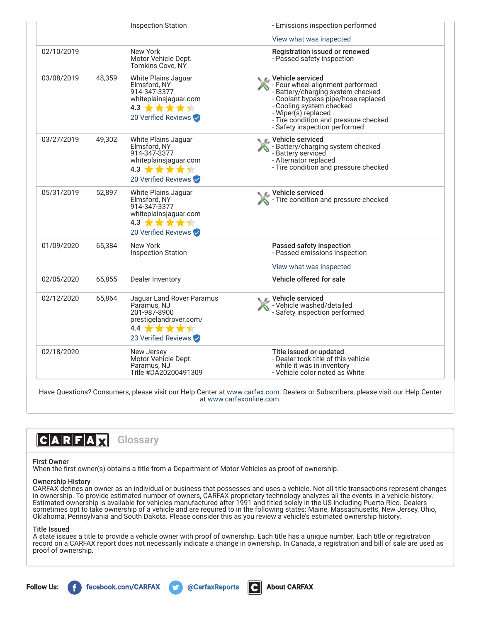|            |        | <b>Inspection Station</b>                                                                                                                  | - Emissions inspection performed                                                                                                                                                                                                                                       |  |
|------------|--------|--------------------------------------------------------------------------------------------------------------------------------------------|------------------------------------------------------------------------------------------------------------------------------------------------------------------------------------------------------------------------------------------------------------------------|--|
|            |        |                                                                                                                                            | View what was inspected                                                                                                                                                                                                                                                |  |
| 02/10/2019 |        | New York<br>Motor Vehicle Dept.<br>Tomkins Cove, NY                                                                                        | Registration issued or renewed<br>- Passed safety inspection                                                                                                                                                                                                           |  |
| 03/08/2019 | 48,359 | White Plains Jaguar<br>Elmsford, NY<br>914-347-3377<br>whiteplainsjaguar.com<br>4.3 ★★★★★<br>20 Verified Reviews                           | <b>€</b> Vehicle serviced<br>- Four wheel alignment performed<br>- Battery/charging system checked<br>- Coolant bypass pipe/hose replaced<br>- Cooling system checked<br>- Wiper(s) replaced<br>- Tire condition and pressure checked<br>- Safety inspection performed |  |
| 03/27/2019 | 49,302 | White Plains Jaguar<br>Elmsford, NY<br>914-347-3377<br>whiteplainsjaguar.com<br>4.3 $\star \star \star \star \star$<br>20 Verified Reviews | Vehicle serviced<br>- Battery/charging system checked<br>- Battery serviced<br>- Alternator replaced<br>- Tire condition and pressure checked                                                                                                                          |  |
| 05/31/2019 | 52,897 | White Plains Jaguar<br>Elmsford, NY<br>914-347-3377<br>whiteplainsjaguar.com<br>4.3 <b>★★★★</b> ★<br>20 Verified Reviews                   | Vehicle serviced<br>Tire condition and pressure checked                                                                                                                                                                                                                |  |
| 01/09/2020 | 65,384 | New York<br><b>Inspection Station</b>                                                                                                      | Passed safety inspection<br>- Passed emissions inspection<br>View what was inspected                                                                                                                                                                                   |  |
| 02/05/2020 | 65,855 | Dealer Inventory                                                                                                                           | Vehicle offered for sale                                                                                                                                                                                                                                               |  |
| 02/12/2020 | 65,864 | Jaguar Land Rover Paramus<br>Paramus, NJ<br>201-987-8900<br>prestigelandrover.com/<br>4.4 ★★★★★<br>23 Verified Reviews                     | C Vehicle serviced<br>- Vehicle washed/detailed<br>- Safety inspection performed                                                                                                                                                                                       |  |
| 02/18/2020 |        | New Jersey<br>Motor Vehicle Dept.<br>Paramus, NJ<br>Title #DA20200491309                                                                   | Title issued or updated<br>- Dealer took title of this vehicle<br>while it was in inventory<br>- Vehicle color noted as White                                                                                                                                          |  |

Have Questions? Consumers, please visit our Help Center at [www.carfax.com](http://www.carfax.com/help). Dealers or Subscribers, please visit our Help Center at [www.carfaxonline.com.](http://www.carfaxonline.com/)



## First Owner

When the first owner(s) obtains a title from a Department of Motor Vehicles as proof of ownership.

## Ownership History

CARFAX defines an owner as an individual or business that possesses and uses a vehicle. Not all title transactions represent changes in ownership. To provide estimated number of owners, CARFAX proprietary technology analyzes all the events in a vehicle history. Estimated ownership is available for vehicles manufactured after 1991 and titled solely in the US including Puerto Rico. Dealers sometimes opt to take ownership of a vehicle and are required to in the following states: Maine, Massachusetts, New Jersey, Ohio, Oklahoma, Pennsylvania and South Dakota. Please consider this as you review a vehicle's estimated ownership history.

## Title Issued

A state issues a title to provide a vehicle owner with proof of ownership. Each title has a unique number. Each title or registration record on a CARFAX report does not necessarily indicate a change in ownership. In Canada, a registration and bill of sale are used as proof of ownership.